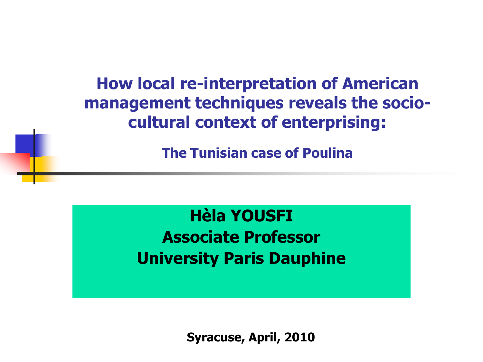**How local re-interpretation of American management techniques reveals the sociocultural context of enterprising:** 

**The Tunisian case of Poulina**

**Hèla YOUSFI Associate Professor University Paris Dauphine**

**Syracuse, April, 2010**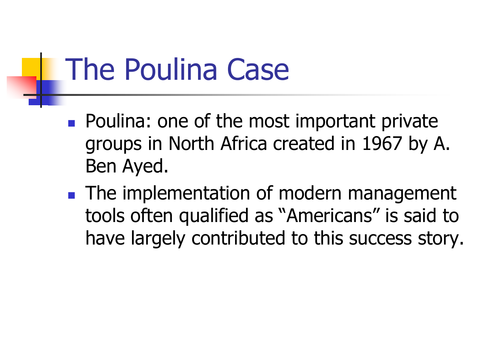# The Poulina Case

- **Poulina: one of the most important private** groups in North Africa created in 1967 by A. Ben Ayed.
- **The implementation of modern management** tools often qualified as "Americans" is said to have largely contributed to this success story.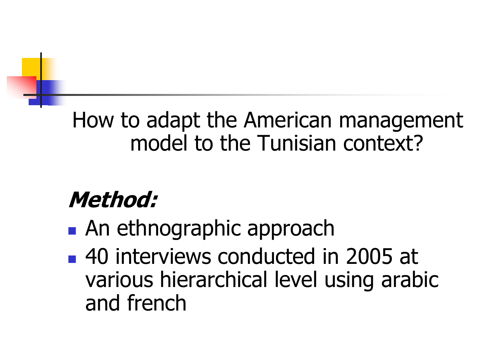### How to adapt the American management model to the Tunisian context?

## **Method:**

- **An ethnographic approach**
- 40 interviews conducted in 2005 at various hierarchical level using arabic and french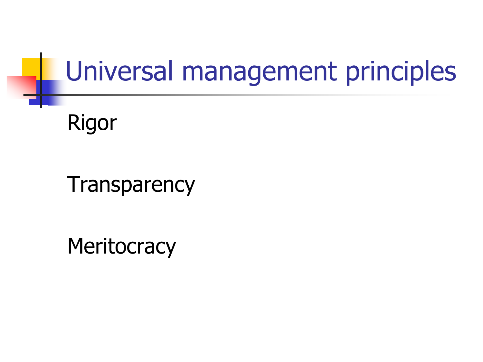## Universal management principles

### Rigor

**Transparency** 

**Meritocracy**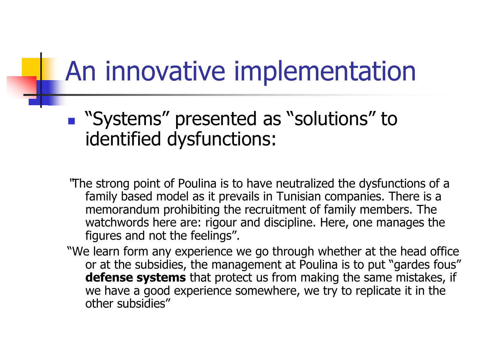## An innovative implementation

- "Systems" presented as "solutions" to identified dysfunctions:
- "The strong point of Poulina is to have neutralized the dysfunctions of a family based model as it prevails in Tunisian companies. There is a memorandum prohibiting the recruitment of family members. The watchwords here are: rigour and discipline. Here, one manages the figures and not the feelings".
- "We learn form any experience we go through whether at the head office or at the subsidies, the management at Poulina is to put "gardes fous" **defense systems** that protect us from making the same mistakes, if we have a good experience somewhere, we try to replicate it in the other subsidies"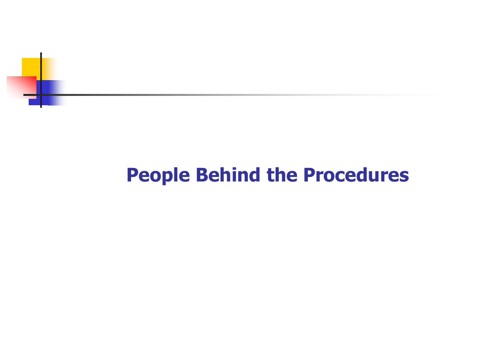

#### **People Behind the Procedures**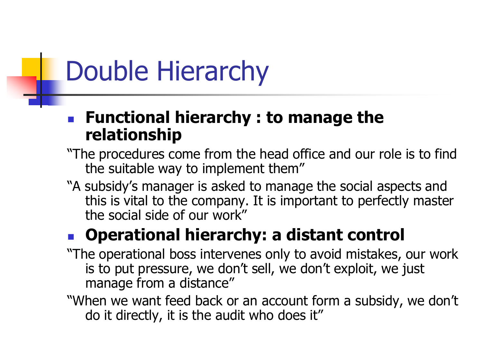## Double Hierarchy

#### **Functional hierarchy : to manage the relationship**

- "The procedures come from the head office and our role is to find the suitable way to implement them"
- "A subsidy"s manager is asked to manage the social aspects and this is vital to the company. It is important to perfectly master the social side of our work"

#### **Operational hierarchy: a distant control**

- "The operational boss intervenes only to avoid mistakes, our work is to put pressure, we don't sell, we don't exploit, we just manage from a distance"
- "When we want feed back or an account form a subsidy, we don"t do it directly, it is the audit who does it"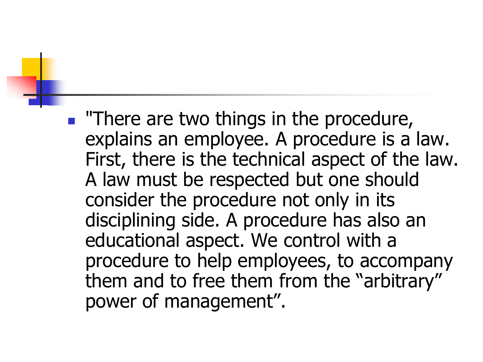**There are two things in the procedure,** explains an employee. A procedure is a law. First, there is the technical aspect of the law. A law must be respected but one should consider the procedure not only in its disciplining side. A procedure has also an educational aspect. We control with a procedure to help employees, to accompany them and to free them from the "arbitrary" power of management".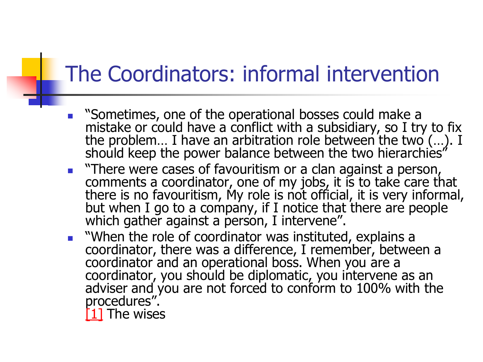### The Coordinators: informal intervention

- "Sometimes, one of the operational bosses could make a mistake or could have a conflict with a subsidiary, so I try to fix the problem... I have an arbitration role between the two (...). I should keep the power balance between the two hierarchies"
- **There were cases of favouritism or a clan against a person,** comments a coordinator, one of my jobs, it is to take care that there is no favouritism, My role is not official, it is very informal, but when I go to a company, if I notice that there are people which gather against a person, I intervene".
- **No.** "When the role of coordinator was instituted, explains a coordinator, there was a difference, I remember, between a coordinator and an operational boss. When you are a coordinator, you should be diplomatic, you intervene as an adviser and you are not forced to conform to 100% with the procedures".

[1] The wises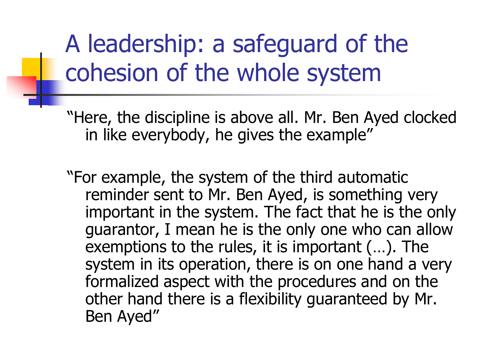## A leadership: a safeguard of the cohesion of the whole system

"Here, the discipline is above all. Mr. Ben Ayed clocked in like everybody, he gives the example"

"For example, the system of the third automatic reminder sent to Mr. Ben Ayed, is something very important in the system. The fact that he is the only guarantor, I mean he is the only one who can allow exemptions to the rules, it is important (…). The system in its operation, there is on one hand a very formalized aspect with the procedures and on the other hand there is a flexibility guaranteed by Mr. Ben Ayed"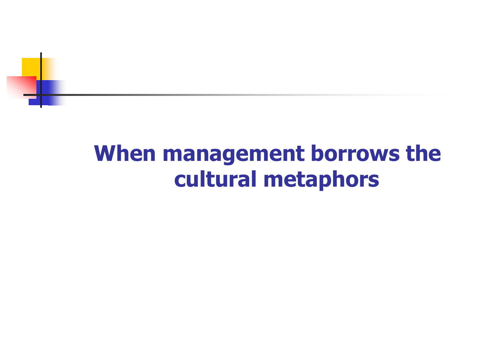

## **When management borrows the cultural metaphors**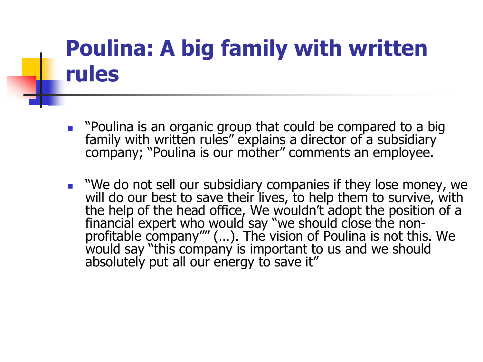### **Poulina: A big family with written rules**

- **•** "Poulina is an organic group that could be compared to a big family with written rules" explains a director of a subsidiary company; "Poulina is our mother" comments an employee.
- We do not sell our subsidiary companies if they lose money, we will do our best to save their lives, to help them to survive, with the help of the head office, We wouldn"t adopt the position of a financial expert who would say "we should close the nonprofitable company"" (…). The vision of Poulina is not this. We would say "this company is important to us and we should absolutely put all our energy to save it"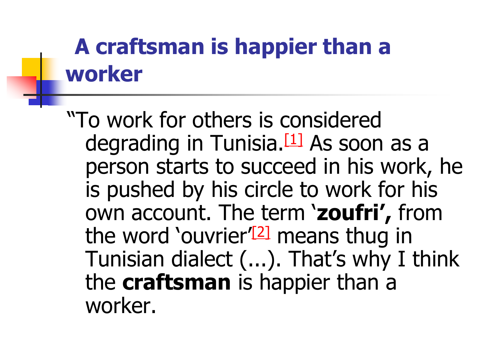## **A craftsman is happier than a worker**

"To work for others is considered degrading in Tunisia. $[1]$  As soon as a person starts to succeed in his work, he is pushed by his circle to work for his own account. The term "**zoufri',** from the word 'ouvrier<sup>'[2]</sup> means thug in Tunisian dialect (...). That's why I think the **craftsman** is happier than a worker.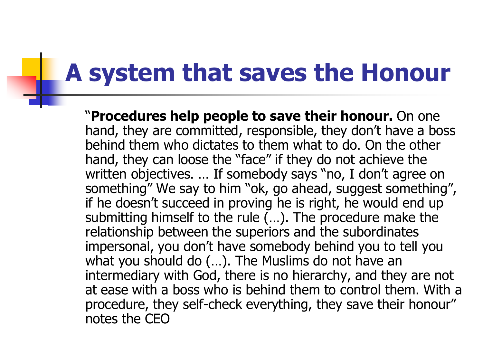## **A system that saves the Honour**

"**Procedures help people to save their honour.** On one hand, they are committed, responsible, they don't have a boss behind them who dictates to them what to do. On the other hand, they can loose the "face" if they do not achieve the written objectives. ... If somebody says "no, I don't agree on something" We say to him "ok, go ahead, suggest something", if he doesn't succeed in proving he is right, he would end up submitting himself to the rule (…). The procedure make the relationship between the superiors and the subordinates impersonal, you don"t have somebody behind you to tell you what you should do (…). The Muslims do not have an intermediary with God, there is no hierarchy, and they are not at ease with a boss who is behind them to control them. With a procedure, they self-check everything, they save their honour" notes the CEO